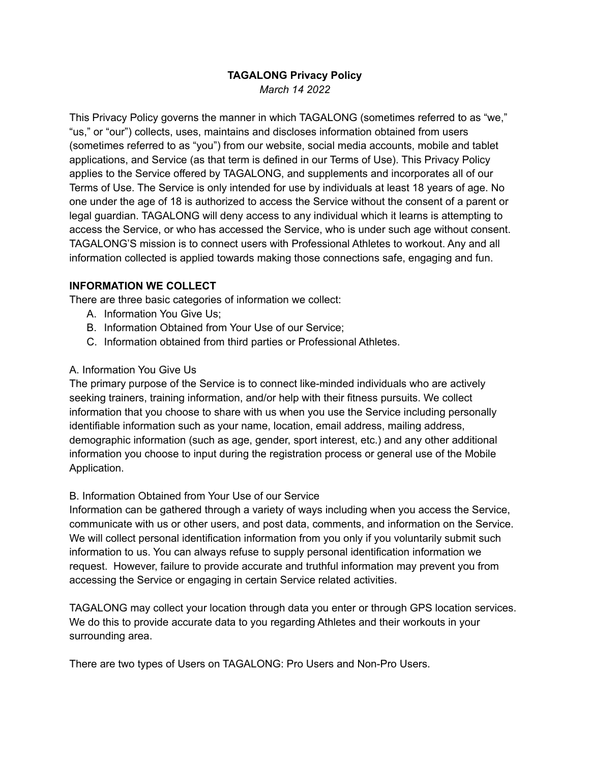# **TAGALONG Privacy Policy** *March 14 2022*

This Privacy Policy governs the manner in which TAGALONG (sometimes referred to as "we," "us," or "our") collects, uses, maintains and discloses information obtained from users (sometimes referred to as "you") from our website, social media accounts, mobile and tablet applications, and Service (as that term is defined in our Terms of Use). This Privacy Policy applies to the Service offered by TAGALONG, and supplements and incorporates all of our Terms of Use. The Service is only intended for use by individuals at least 18 years of age. No one under the age of 18 is authorized to access the Service without the consent of a parent or legal guardian. TAGALONG will deny access to any individual which it learns is attempting to access the Service, or who has accessed the Service, who is under such age without consent. TAGALONG'S mission is to connect users with Professional Athletes to workout. Any and all information collected is applied towards making those connections safe, engaging and fun.

#### **INFORMATION WE COLLECT**

There are three basic categories of information we collect:

- A. Information You Give Us;
- B. Information Obtained from Your Use of our Service;
- C. Information obtained from third parties or Professional Athletes.

#### A. Information You Give Us

The primary purpose of the Service is to connect like-minded individuals who are actively seeking trainers, training information, and/or help with their fitness pursuits. We collect information that you choose to share with us when you use the Service including personally identifiable information such as your name, location, email address, mailing address, demographic information (such as age, gender, sport interest, etc.) and any other additional information you choose to input during the registration process or general use of the Mobile Application.

#### B. Information Obtained from Your Use of our Service

Information can be gathered through a variety of ways including when you access the Service, communicate with us or other users, and post data, comments, and information on the Service. We will collect personal identification information from you only if you voluntarily submit such information to us. You can always refuse to supply personal identification information we request. However, failure to provide accurate and truthful information may prevent you from accessing the Service or engaging in certain Service related activities.

TAGALONG may collect your location through data you enter or through GPS location services. We do this to provide accurate data to you regarding Athletes and their workouts in your surrounding area.

There are two types of Users on TAGALONG: Pro Users and Non-Pro Users.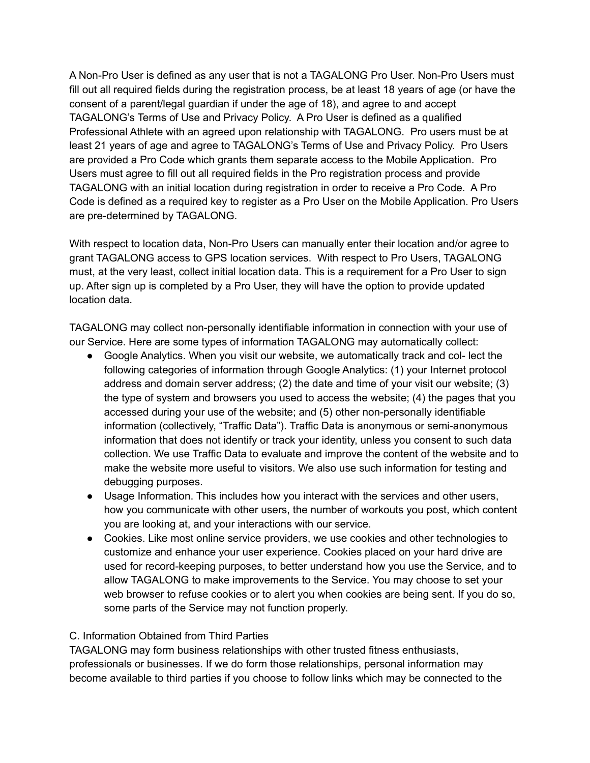A Non-Pro User is defined as any user that is not a TAGALONG Pro User. Non-Pro Users must fill out all required fields during the registration process, be at least 18 years of age (or have the consent of a parent/legal guardian if under the age of 18), and agree to and accept TAGALONG's Terms of Use and Privacy Policy. A Pro User is defined as a qualified Professional Athlete with an agreed upon relationship with TAGALONG. Pro users must be at least 21 years of age and agree to TAGALONG's Terms of Use and Privacy Policy. Pro Users are provided a Pro Code which grants them separate access to the Mobile Application. Pro Users must agree to fill out all required fields in the Pro registration process and provide TAGALONG with an initial location during registration in order to receive a Pro Code. A Pro Code is defined as a required key to register as a Pro User on the Mobile Application. Pro Users are pre-determined by TAGALONG.

With respect to location data, Non-Pro Users can manually enter their location and/or agree to grant TAGALONG access to GPS location services. With respect to Pro Users, TAGALONG must, at the very least, collect initial location data. This is a requirement for a Pro User to sign up. After sign up is completed by a Pro User, they will have the option to provide updated location data.

TAGALONG may collect non-personally identifiable information in connection with your use of our Service. Here are some types of information TAGALONG may automatically collect:

- Google Analytics. When you visit our website, we automatically track and col- lect the following categories of information through Google Analytics: (1) your Internet protocol address and domain server address; (2) the date and time of your visit our website; (3) the type of system and browsers you used to access the website; (4) the pages that you accessed during your use of the website; and (5) other non-personally identifiable information (collectively, "Traffic Data"). Traffic Data is anonymous or semi-anonymous information that does not identify or track your identity, unless you consent to such data collection. We use Traffic Data to evaluate and improve the content of the website and to make the website more useful to visitors. We also use such information for testing and debugging purposes.
- Usage Information. This includes how you interact with the services and other users, how you communicate with other users, the number of workouts you post, which content you are looking at, and your interactions with our service.
- Cookies. Like most online service providers, we use cookies and other technologies to customize and enhance your user experience. Cookies placed on your hard drive are used for record-keeping purposes, to better understand how you use the Service, and to allow TAGALONG to make improvements to the Service. You may choose to set your web browser to refuse cookies or to alert you when cookies are being sent. If you do so, some parts of the Service may not function properly.

# C. Information Obtained from Third Parties

TAGALONG may form business relationships with other trusted fitness enthusiasts, professionals or businesses. If we do form those relationships, personal information may become available to third parties if you choose to follow links which may be connected to the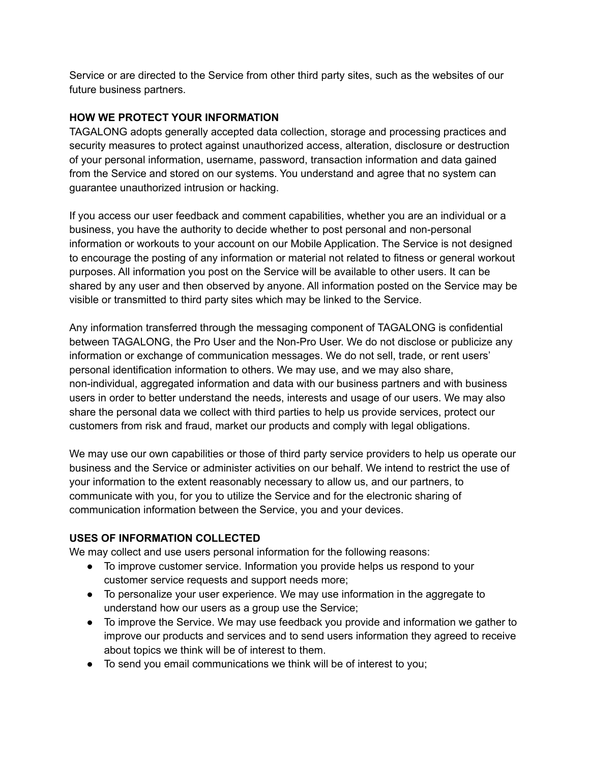Service or are directed to the Service from other third party sites, such as the websites of our future business partners.

### **HOW WE PROTECT YOUR INFORMATION**

TAGALONG adopts generally accepted data collection, storage and processing practices and security measures to protect against unauthorized access, alteration, disclosure or destruction of your personal information, username, password, transaction information and data gained from the Service and stored on our systems. You understand and agree that no system can guarantee unauthorized intrusion or hacking.

If you access our user feedback and comment capabilities, whether you are an individual or a business, you have the authority to decide whether to post personal and non-personal information or workouts to your account on our Mobile Application. The Service is not designed to encourage the posting of any information or material not related to fitness or general workout purposes. All information you post on the Service will be available to other users. It can be shared by any user and then observed by anyone. All information posted on the Service may be visible or transmitted to third party sites which may be linked to the Service.

Any information transferred through the messaging component of TAGALONG is confidential between TAGALONG, the Pro User and the Non-Pro User. We do not disclose or publicize any information or exchange of communication messages. We do not sell, trade, or rent users' personal identification information to others. We may use, and we may also share, non-individual, aggregated information and data with our business partners and with business users in order to better understand the needs, interests and usage of our users. We may also share the personal data we collect with third parties to help us provide services, protect our customers from risk and fraud, market our products and comply with legal obligations.

We may use our own capabilities or those of third party service providers to help us operate our business and the Service or administer activities on our behalf. We intend to restrict the use of your information to the extent reasonably necessary to allow us, and our partners, to communicate with you, for you to utilize the Service and for the electronic sharing of communication information between the Service, you and your devices.

# **USES OF INFORMATION COLLECTED**

We may collect and use users personal information for the following reasons:

- To improve customer service. Information you provide helps us respond to your customer service requests and support needs more;
- To personalize your user experience. We may use information in the aggregate to understand how our users as a group use the Service;
- To improve the Service. We may use feedback you provide and information we gather to improve our products and services and to send users information they agreed to receive about topics we think will be of interest to them.
- To send you email communications we think will be of interest to you;